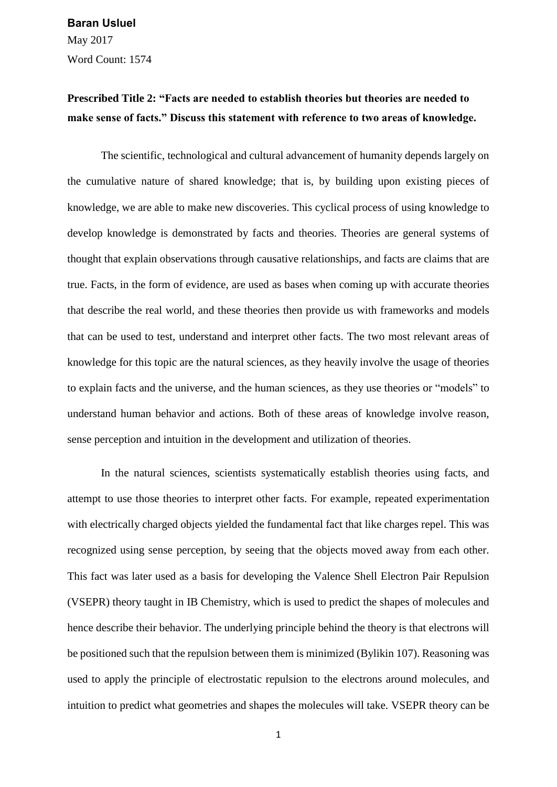May 2017 Word Count: 1574 **Baran Usluel**

## **Prescribed Title 2: "Facts are needed to establish theories but theories are needed to make sense of facts." Discuss this statement with reference to two areas of knowledge.**

The scientific, technological and cultural advancement of humanity depends largely on the cumulative nature of shared knowledge; that is, by building upon existing pieces of knowledge, we are able to make new discoveries. This cyclical process of using knowledge to develop knowledge is demonstrated by facts and theories. Theories are general systems of thought that explain observations through causative relationships, and facts are claims that are true. Facts, in the form of evidence, are used as bases when coming up with accurate theories that describe the real world, and these theories then provide us with frameworks and models that can be used to test, understand and interpret other facts. The two most relevant areas of knowledge for this topic are the natural sciences, as they heavily involve the usage of theories to explain facts and the universe, and the human sciences, as they use theories or "models" to understand human behavior and actions. Both of these areas of knowledge involve reason, sense perception and intuition in the development and utilization of theories.

In the natural sciences, scientists systematically establish theories using facts, and attempt to use those theories to interpret other facts. For example, repeated experimentation with electrically charged objects yielded the fundamental fact that like charges repel. This was recognized using sense perception, by seeing that the objects moved away from each other. This fact was later used as a basis for developing the Valence Shell Electron Pair Repulsion (VSEPR) theory taught in IB Chemistry, which is used to predict the shapes of molecules and hence describe their behavior. The underlying principle behind the theory is that electrons will be positioned such that the repulsion between them is minimized (Bylikin 107). Reasoning was used to apply the principle of electrostatic repulsion to the electrons around molecules, and intuition to predict what geometries and shapes the molecules will take. VSEPR theory can be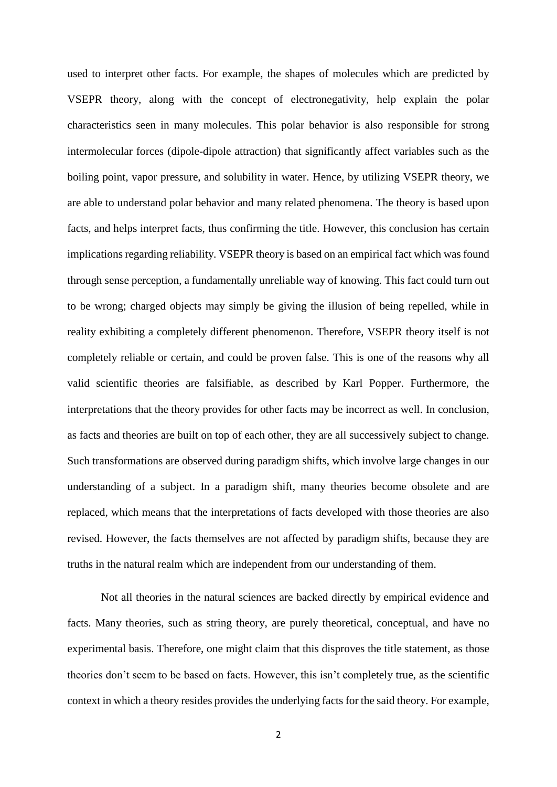used to interpret other facts. For example, the shapes of molecules which are predicted by VSEPR theory, along with the concept of electronegativity, help explain the polar characteristics seen in many molecules. This polar behavior is also responsible for strong intermolecular forces (dipole-dipole attraction) that significantly affect variables such as the boiling point, vapor pressure, and solubility in water. Hence, by utilizing VSEPR theory, we are able to understand polar behavior and many related phenomena. The theory is based upon facts, and helps interpret facts, thus confirming the title. However, this conclusion has certain implications regarding reliability. VSEPR theory is based on an empirical fact which was found through sense perception, a fundamentally unreliable way of knowing. This fact could turn out to be wrong; charged objects may simply be giving the illusion of being repelled, while in reality exhibiting a completely different phenomenon. Therefore, VSEPR theory itself is not completely reliable or certain, and could be proven false. This is one of the reasons why all valid scientific theories are falsifiable, as described by Karl Popper. Furthermore, the interpretations that the theory provides for other facts may be incorrect as well. In conclusion, as facts and theories are built on top of each other, they are all successively subject to change. Such transformations are observed during paradigm shifts, which involve large changes in our understanding of a subject. In a paradigm shift, many theories become obsolete and are replaced, which means that the interpretations of facts developed with those theories are also revised. However, the facts themselves are not affected by paradigm shifts, because they are truths in the natural realm which are independent from our understanding of them.

Not all theories in the natural sciences are backed directly by empirical evidence and facts. Many theories, such as string theory, are purely theoretical, conceptual, and have no experimental basis. Therefore, one might claim that this disproves the title statement, as those theories don't seem to be based on facts. However, this isn't completely true, as the scientific context in which a theory resides provides the underlying facts for the said theory. For example,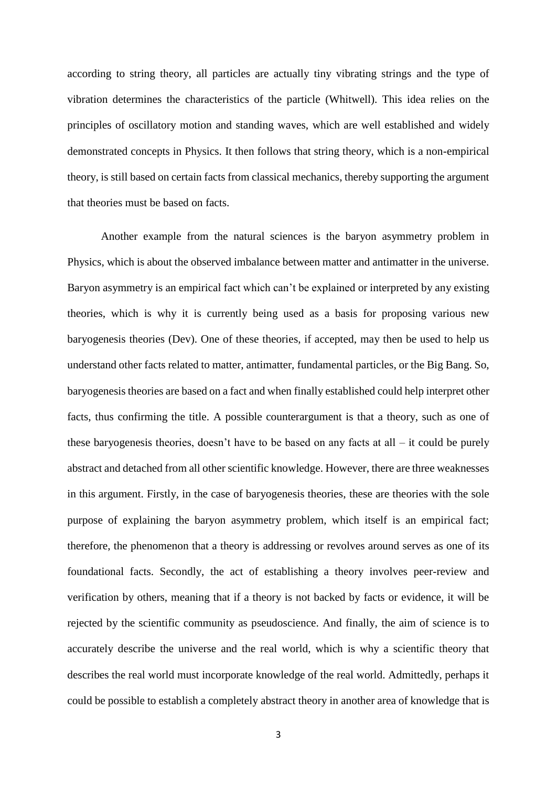according to string theory, all particles are actually tiny vibrating strings and the type of vibration determines the characteristics of the particle (Whitwell). This idea relies on the principles of oscillatory motion and standing waves, which are well established and widely demonstrated concepts in Physics. It then follows that string theory, which is a non-empirical theory, is still based on certain facts from classical mechanics, thereby supporting the argument that theories must be based on facts.

Another example from the natural sciences is the baryon asymmetry problem in Physics, which is about the observed imbalance between matter and antimatter in the universe. Baryon asymmetry is an empirical fact which can't be explained or interpreted by any existing theories, which is why it is currently being used as a basis for proposing various new baryogenesis theories (Dev). One of these theories, if accepted, may then be used to help us understand other facts related to matter, antimatter, fundamental particles, or the Big Bang. So, baryogenesis theories are based on a fact and when finally established could help interpret other facts, thus confirming the title. A possible counterargument is that a theory, such as one of these baryogenesis theories, doesn't have to be based on any facts at all – it could be purely abstract and detached from all other scientific knowledge. However, there are three weaknesses in this argument. Firstly, in the case of baryogenesis theories, these are theories with the sole purpose of explaining the baryon asymmetry problem, which itself is an empirical fact; therefore, the phenomenon that a theory is addressing or revolves around serves as one of its foundational facts. Secondly, the act of establishing a theory involves peer-review and verification by others, meaning that if a theory is not backed by facts or evidence, it will be rejected by the scientific community as pseudoscience. And finally, the aim of science is to accurately describe the universe and the real world, which is why a scientific theory that describes the real world must incorporate knowledge of the real world. Admittedly, perhaps it could be possible to establish a completely abstract theory in another area of knowledge that is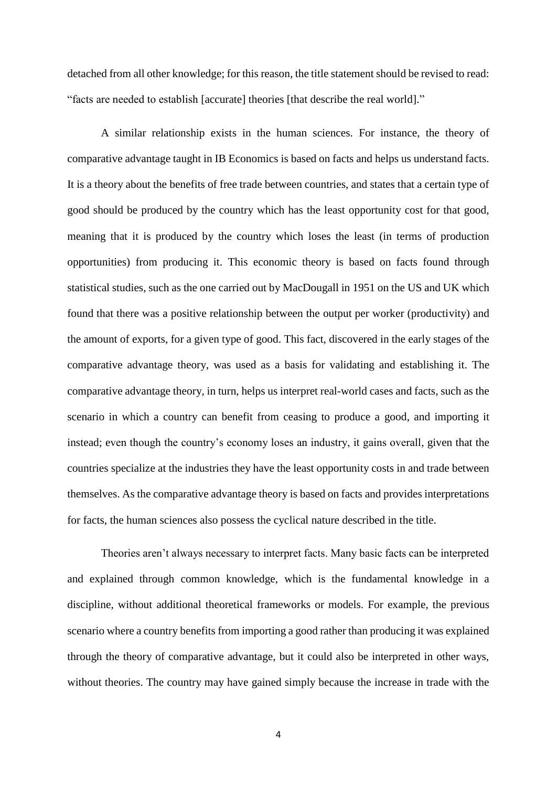detached from all other knowledge; for this reason, the title statement should be revised to read: "facts are needed to establish [accurate] theories [that describe the real world]."

A similar relationship exists in the human sciences. For instance, the theory of comparative advantage taught in IB Economics is based on facts and helps us understand facts. It is a theory about the benefits of free trade between countries, and states that a certain type of good should be produced by the country which has the least opportunity cost for that good, meaning that it is produced by the country which loses the least (in terms of production opportunities) from producing it. This economic theory is based on facts found through statistical studies, such as the one carried out by MacDougall in 1951 on the US and UK which found that there was a positive relationship between the output per worker (productivity) and the amount of exports, for a given type of good. This fact, discovered in the early stages of the comparative advantage theory, was used as a basis for validating and establishing it. The comparative advantage theory, in turn, helps us interpret real-world cases and facts, such as the scenario in which a country can benefit from ceasing to produce a good, and importing it instead; even though the country's economy loses an industry, it gains overall, given that the countries specialize at the industries they have the least opportunity costs in and trade between themselves. As the comparative advantage theory is based on facts and provides interpretations for facts, the human sciences also possess the cyclical nature described in the title.

Theories aren't always necessary to interpret facts. Many basic facts can be interpreted and explained through common knowledge, which is the fundamental knowledge in a discipline, without additional theoretical frameworks or models. For example, the previous scenario where a country benefits from importing a good rather than producing it was explained through the theory of comparative advantage, but it could also be interpreted in other ways, without theories. The country may have gained simply because the increase in trade with the